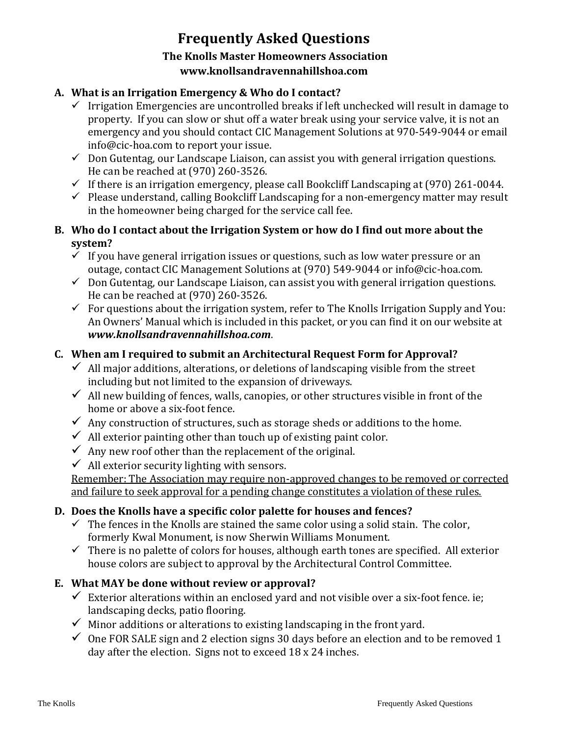# **Frequently Asked Questions The Knolls Master Homeowners Association www.knollsandravennahillshoa.com**

#### **A. What is an Irrigation Emergency & Who do I contact?**

- ✓ Irrigation Emergencies are uncontrolled breaks if left unchecked will result in damage to property. If you can slow or shut off a water break using your service valve, it is not an emergency and you should contact CIC Management Solutions at 970-549-9044 or email info@cic-hoa.com to report your issue.
- $\checkmark$  Don Gutentag, our Landscape Liaison, can assist you with general irrigation questions. He can be reached at (970) 260-3526.
- $\checkmark$  If there is an irrigation emergency, please call Bookcliff Landscaping at (970) 261-0044.
- $\checkmark$  Please understand, calling Bookcliff Landscaping for a non-emergency matter may result in the homeowner being charged for the service call fee.

#### **B. Who do I contact about the Irrigation System or how do I find out more about the system?**

- $\checkmark$  If you have general irrigation issues or questions, such as low water pressure or an outage, contact CIC Management Solutions at (970) 549-9044 or info@cic-hoa.com.
- $\checkmark$  Don Gutentag, our Landscape Liaison, can assist you with general irrigation questions. He can be reached at (970) 260-3526.
- $\checkmark$  For questions about the irrigation system, refer to The Knolls Irrigation Supply and You: An Owners' Manual which is included in this packet, or you can find it on our website at *www.knollsandravennahillshoa.com*.

# **C. When am I required to submit an Architectural Request Form for Approval?**

- $\checkmark$  All major additions, alterations, or deletions of landscaping visible from the street including but not limited to the expansion of driveways.
- $\checkmark$  All new building of fences, walls, canopies, or other structures visible in front of the home or above a six-foot fence.
- $\checkmark$  Any construction of structures, such as storage sheds or additions to the home.
- $\checkmark$  All exterior painting other than touch up of existing paint color.
- $\checkmark$  Any new roof other than the replacement of the original.
- $\checkmark$  All exterior security lighting with sensors.

Remember: The Association may require non-approved changes to be removed or corrected and failure to seek approval for a pending change constitutes a violation of these rules.

# **D. Does the Knolls have a specific color palette for houses and fences?**

- $\checkmark$  The fences in the Knolls are stained the same color using a solid stain. The color, formerly Kwal Monument, is now Sherwin Williams Monument.
- $\checkmark$  There is no palette of colors for houses, although earth tones are specified. All exterior house colors are subject to approval by the Architectural Control Committee.

# **E. What MAY be done without review or approval?**

- $\checkmark$  Exterior alterations within an enclosed yard and not visible over a six-foot fence. ie; landscaping decks, patio flooring.
- $\checkmark$  Minor additions or alterations to existing landscaping in the front yard.
- $\checkmark$  One FOR SALE sign and 2 election signs 30 days before an election and to be removed 1 day after the election. Signs not to exceed 18 x 24 inches.